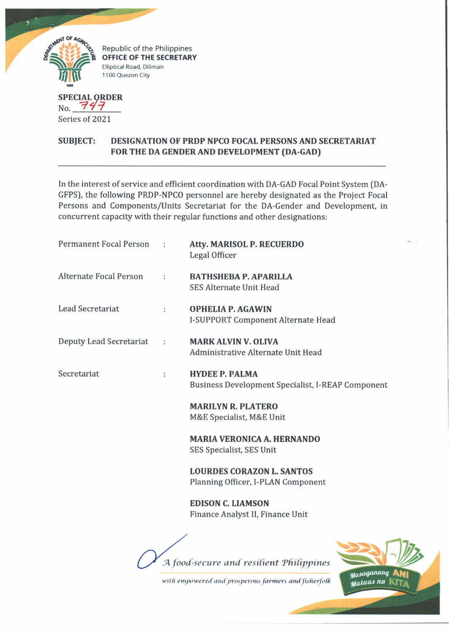

Series of 2021

## **SUBJECT: DESIGNATION OF PRDP NPCO FOCAL PERSONS AND SECRETARIAT FOR THE DA GENDER AND DEVELOPMENT (DA-GAD)**

In the interest of service and efficient coordination with DA-GAD Focal Point System (DA-GFPS), the following PRDP-NPCO personnel are hereby designated as the Project Focal Persons and Components/Units Secretariat for the DA-Gender and Development, in concurrent capacity with their regular functions and other designations:

| <b>Permanent Focal Person</b> |   | <b>Atty. MARISOL P. RECUERDO</b><br>Legal Officer                          |
|-------------------------------|---|----------------------------------------------------------------------------|
| <b>Alternate Focal Person</b> | ÷ | <b>BATHSHEBA P. APARILLA</b><br><b>SES Alternate Unit Head</b>             |
| <b>Lead Secretariat</b>       | ÷ | <b>OPHELIA P. AGAWIN</b><br>I-SUPPORT Component Alternate Head             |
| Deputy Lead Secretariat       | ÷ | <b>MARK ALVIN V. OLIVA</b><br>Administrative Alternate Unit Head           |
| Secretariat                   | ÷ | <b>HYDEE P. PALMA</b><br>Business Development Specialist, I-REAP Component |
|                               |   | <b>MARILYN R. PLATERO</b><br>M&E Specialist, M&E Unit                      |
|                               |   | <b>MARIA VERONICA A. HERNANDO</b><br>SES Specialist, SES Unit              |
|                               |   | <b>LOURDES CORAZON L. SANTOS</b><br>Planning Officer, I-PLAN Component     |
|                               |   | <b>EDISON C. LIAMSON</b><br>Finance Analyst II, Finance Unit               |
|                               |   |                                                                            |

A food-secure and resilient Philippines

Masaganang with empowered and prosperous farmers and fisherfolk Mataas na |